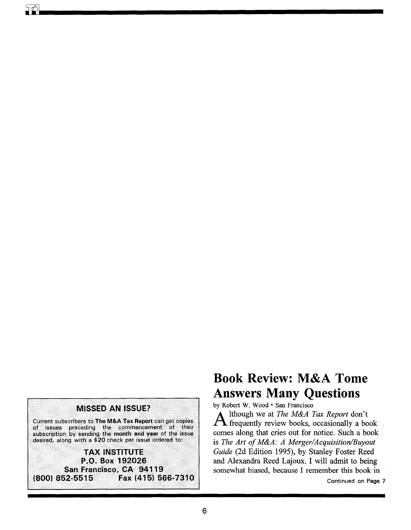

# **Book Review: M&A Tome Answers Many Questions**

by Robert W. Wood • San Francisco

lthough we at The M&A Tax Report don't  $\Lambda$  frequently review books, occasionally a book comes along that cries out for notice. Such a book is The Art of M&A: A Merger/Acquisition/Buyout Guide (2d Edition 1995), by Stanley Foster Reed and Alexandra Reed Lajoux. I will admit to being somewhat biased, because I remember this book in

Continued on Page 7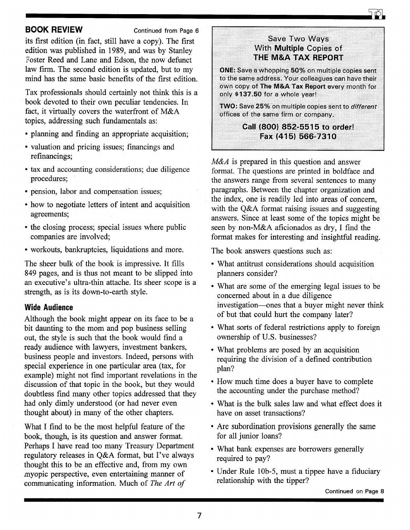### **BOOK REVIEW** Continued from Page 6

its first edition (in fact, still have a copy). The first edition was published in 1989, and was by Stanley Foster Reed and Lane and Edson, the now defunct law firm. The second edition is updated, but to my mind has the same basic benefits of the first edition.

Tax professionals should certainly not think this is a book devoted to their own peculiar tendencies. In fact, it virtually covers the waterfront of M&A topics, addressing such fundamentals as:

- planning and finding an appropriate acquisition;
- valuation and pricing issues; financings and refinancings;
- tax and accounting considerations; due diligence procedures;
- pension, labor and compensation issues;
- how to negotiate letters of intent and acquisition agreements;
- the closing process; special issues where public companies are involved;
- workouts, bankruptcies, liquidations and more.

The sheer bulk of the book is impressive. It fills 849 pages, and is thus not meant to be slipped into an executive's ultra-thin attache. Its sheer scope is a strength, as is its down-to-earth style.

### **Wide Audience**

Although the book might appear on its face to be a bit daunting to the mom and pop business selling out, the style is such that the book would find a ready audience with lawyers, investment bankers, business people and investors. Indeed, persons with special experience in one particular area (tax, for example) might not find important revelations in the discussion of that topic in the book, but they would doubtless find many other topics addressed that they had only dimly understood (or had never even thought about) in many of the other chapters.

What I find to be the most helpful feature of the book, though, is its question and answer format. Perhaps I have read too many Treasury Department regulatory releases in Q&A format, but I've always thought this to be an effective and, from my own myopic perspective, even entertaining manner of communicating information. Much of *The Art of* 

### Save Two Ways **With Multiple Copies of** THE M&A TAX REPORT

ONE: Save a whopping 50% on multiple copies sent<br>to the same address. Your colleagues can have their own copy of The M&A Tax Report every month for only \$137.50 for a whole year!

TWO: Save 25% on multiple copies sent to *different* offices of the same firm or company.

## Call (800) 852-5515 to order! Fax (415) 566-7310

*M&A* is prepared in this question and answer format. The questions are printed in boldface and the answers range from several sentences to many paragraphs. Between the chapter organization and the index, one is readily led into areas of concern, with the Q&A format raising issues and suggesting answers. Since at least some of the topics might be seen by non-M&A aficionados as dry, I find the format makes for interesting and insightful reading.

The book answers questions such as:

- What antitrust considerations should acquisition planners consider?
- What are some of the emerging legal issues to be concerned about in a due diligence investigation-ones that a buyer might never think of but that could hurt the company later?
- What sorts of federal restrictions apply to foreign ownership of U.S. businesses?
- What problems are posed by an acquisition requiring the division of a defined contribution plan?
- How much time does a buyer have to complete the accounting under the purchase method?
- What is the bulk sales law and what effect does it have on asset transactions?
- Are subordination provisions generally the same for all junior loans?
- What bank expenses are borrowers generally required to pay?
- Under Rule lOb-5, must a tippee have a fiduciary relationship with the tipper?